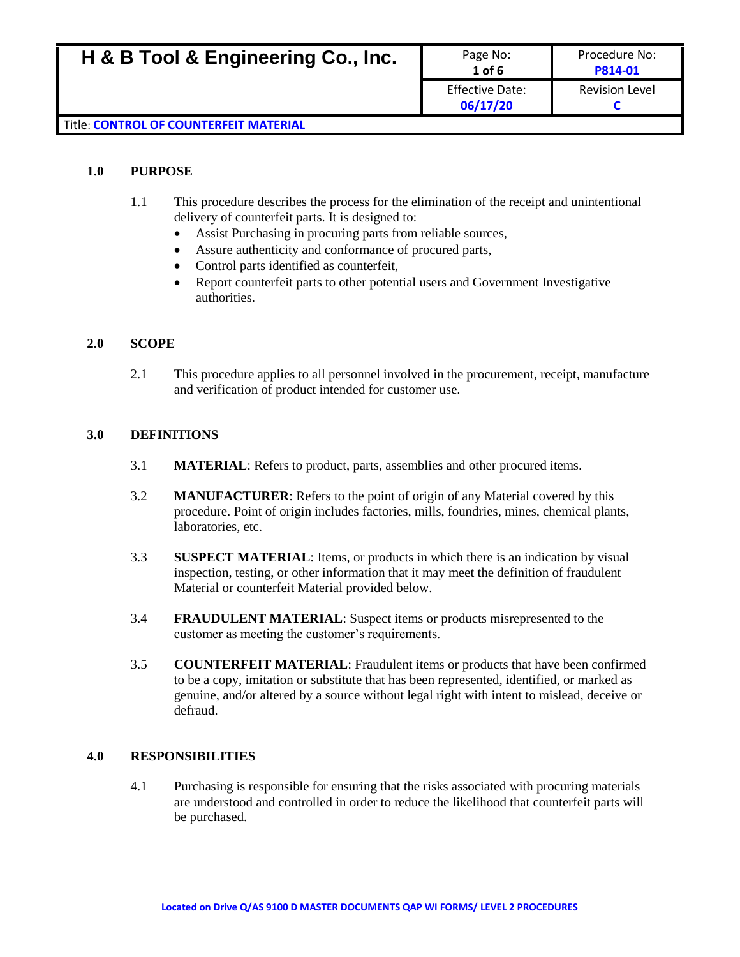| H & B Tool & Engineering Co., Inc.     | Page No:<br>$1$ of $6$             | Procedure No:<br>P814-01 |
|----------------------------------------|------------------------------------|--------------------------|
|                                        | <b>Effective Date:</b><br>06/17/20 | <b>Revision Level</b>    |
| Title: CONTROL OF COUNTERFEIT MATERIAL |                                    |                          |

#### **1.0 PURPOSE**

- 1.1 This procedure describes the process for the elimination of the receipt and unintentional delivery of counterfeit parts. It is designed to:
	- Assist Purchasing in procuring parts from reliable sources,
	- Assure authenticity and conformance of procured parts,
	- Control parts identified as counterfeit,
	- Report counterfeit parts to other potential users and Government Investigative authorities.

#### **2.0 SCOPE**

2.1 This procedure applies to all personnel involved in the procurement, receipt, manufacture and verification of product intended for customer use.

#### **3.0 DEFINITIONS**

- 3.1 **MATERIAL**: Refers to product, parts, assemblies and other procured items.
- 3.2 **MANUFACTURER**: Refers to the point of origin of any Material covered by this procedure. Point of origin includes factories, mills, foundries, mines, chemical plants, laboratories, etc.
- 3.3 **SUSPECT MATERIAL**: Items, or products in which there is an indication by visual inspection, testing, or other information that it may meet the definition of fraudulent Material or counterfeit Material provided below.
- 3.4 **FRAUDULENT MATERIAL**: Suspect items or products misrepresented to the customer as meeting the customer's requirements.
- 3.5 **COUNTERFEIT MATERIAL**: Fraudulent items or products that have been confirmed to be a copy, imitation or substitute that has been represented, identified, or marked as genuine, and/or altered by a source without legal right with intent to mislead, deceive or defraud.

#### **4.0 RESPONSIBILITIES**

4.1 Purchasing is responsible for ensuring that the risks associated with procuring materials are understood and controlled in order to reduce the likelihood that counterfeit parts will be purchased.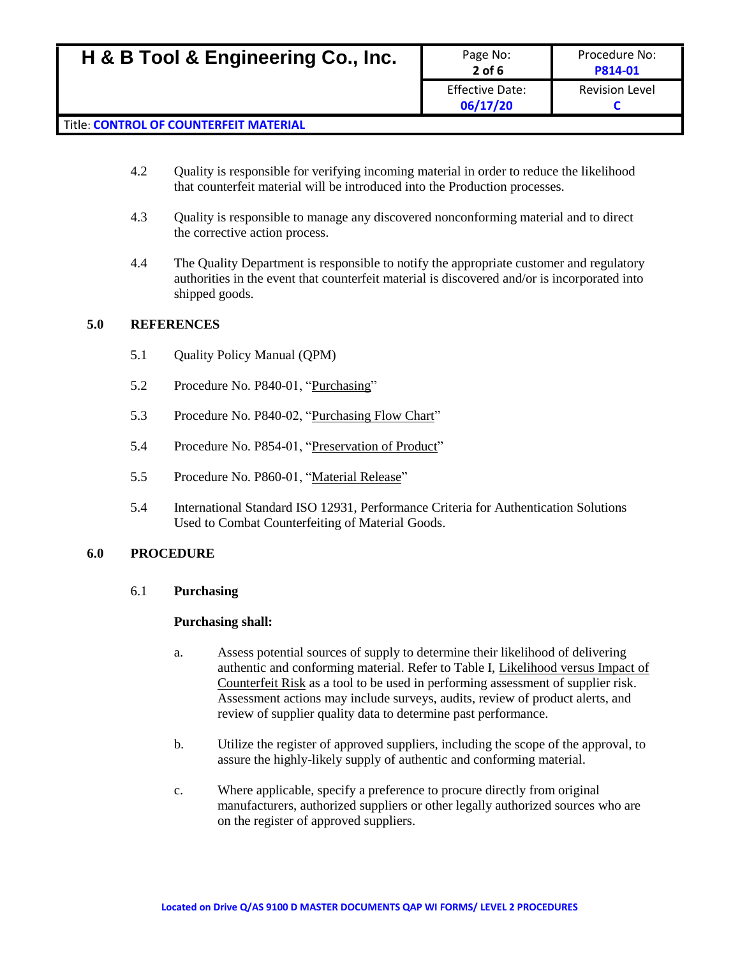| H & B Tool & Engineering Co., Inc.            | Page No:<br>$2$ of 6        | Procedure No:<br>P814-01 |
|-----------------------------------------------|-----------------------------|--------------------------|
|                                               | Effective Date:<br>06/17/20 | <b>Revision Level</b>    |
| <b>Title: CONTROL OF COUNTERFEIT MATERIAL</b> |                             |                          |

# 4.2 Quality is responsible for verifying incoming material in order to reduce the likelihood that counterfeit material will be introduced into the Production processes.

- 4.3 Quality is responsible to manage any discovered nonconforming material and to direct the corrective action process.
- 4.4 The Quality Department is responsible to notify the appropriate customer and regulatory authorities in the event that counterfeit material is discovered and/or is incorporated into shipped goods.

# **5.0 REFERENCES**

- 5.1 Quality Policy Manual (QPM)
- 5.2 Procedure No. P840-01, "Purchasing"
- 5.3 Procedure No. P840-02, "Purchasing Flow Chart"
- 5.4 Procedure No. P854-01, "Preservation of Product"
- 5.5 Procedure No. P860-01, "Material Release"
- 5.4 International Standard ISO 12931, Performance Criteria for Authentication Solutions Used to Combat Counterfeiting of Material Goods.

### **6.0 PROCEDURE**

### 6.1 **Purchasing**

### **Purchasing shall:**

- a. Assess potential sources of supply to determine their likelihood of delivering authentic and conforming material. Refer to Table I, Likelihood versus Impact of Counterfeit Risk as a tool to be used in performing assessment of supplier risk. Assessment actions may include surveys, audits, review of product alerts, and review of supplier quality data to determine past performance.
- b. Utilize the register of approved suppliers, including the scope of the approval, to assure the highly-likely supply of authentic and conforming material.
- c. Where applicable, specify a preference to procure directly from original manufacturers, authorized suppliers or other legally authorized sources who are on the register of approved suppliers.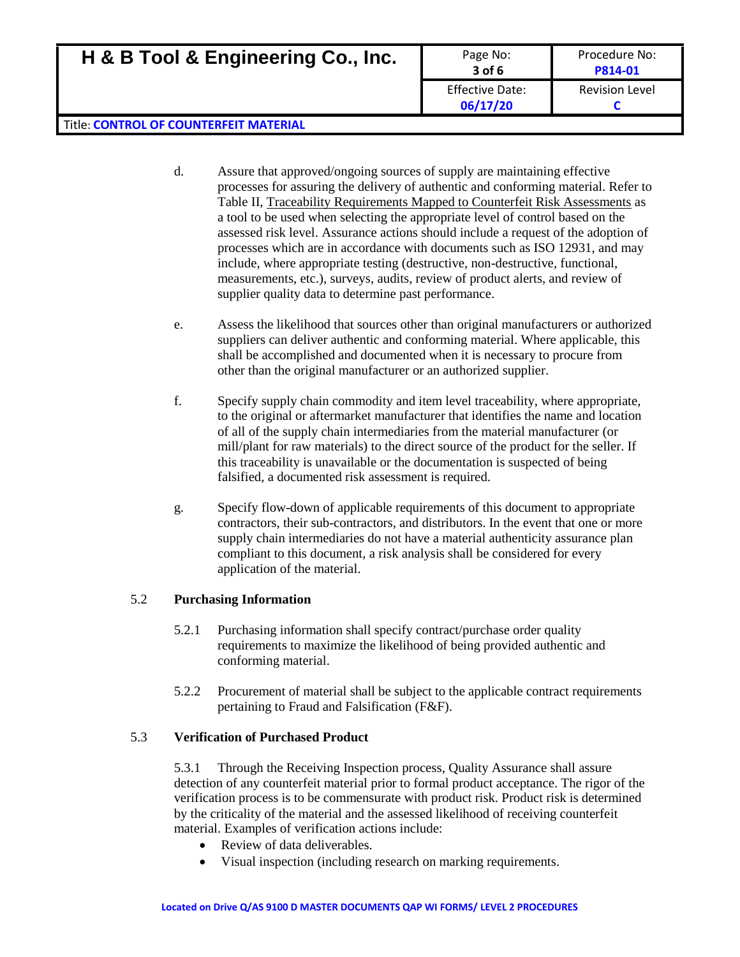| H & B Tool & Engineering Co., Inc.            | Page No:<br>$3$ of $6$             | Procedure No:<br>P814-01 |
|-----------------------------------------------|------------------------------------|--------------------------|
|                                               | <b>Effective Date:</b><br>06/17/20 | <b>Revision Level</b>    |
| <b>Title: CONTROL OF COUNTERFEIT MATERIAL</b> |                                    |                          |

- d. Assure that approved/ongoing sources of supply are maintaining effective processes for assuring the delivery of authentic and conforming material. Refer to Table II, Traceability Requirements Mapped to Counterfeit Risk Assessments as a tool to be used when selecting the appropriate level of control based on the assessed risk level. Assurance actions should include a request of the adoption of processes which are in accordance with documents such as ISO 12931, and may include, where appropriate testing (destructive, non-destructive, functional, measurements, etc.), surveys, audits, review of product alerts, and review of supplier quality data to determine past performance.
- e. Assess the likelihood that sources other than original manufacturers or authorized suppliers can deliver authentic and conforming material. Where applicable, this shall be accomplished and documented when it is necessary to procure from other than the original manufacturer or an authorized supplier.
- f. Specify supply chain commodity and item level traceability, where appropriate, to the original or aftermarket manufacturer that identifies the name and location of all of the supply chain intermediaries from the material manufacturer (or mill/plant for raw materials) to the direct source of the product for the seller. If this traceability is unavailable or the documentation is suspected of being falsified, a documented risk assessment is required.
- g. Specify flow-down of applicable requirements of this document to appropriate contractors, their sub-contractors, and distributors. In the event that one or more supply chain intermediaries do not have a material authenticity assurance plan compliant to this document, a risk analysis shall be considered for every application of the material.

### 5.2 **Purchasing Information**

- 5.2.1 Purchasing information shall specify contract/purchase order quality requirements to maximize the likelihood of being provided authentic and conforming material.
- 5.2.2 Procurement of material shall be subject to the applicable contract requirements pertaining to Fraud and Falsification (F&F).

# 5.3 **Verification of Purchased Product**

5.3.1 Through the Receiving Inspection process, Quality Assurance shall assure detection of any counterfeit material prior to formal product acceptance. The rigor of the verification process is to be commensurate with product risk. Product risk is determined by the criticality of the material and the assessed likelihood of receiving counterfeit material. Examples of verification actions include:

- Review of data deliverables.
- Visual inspection (including research on marking requirements.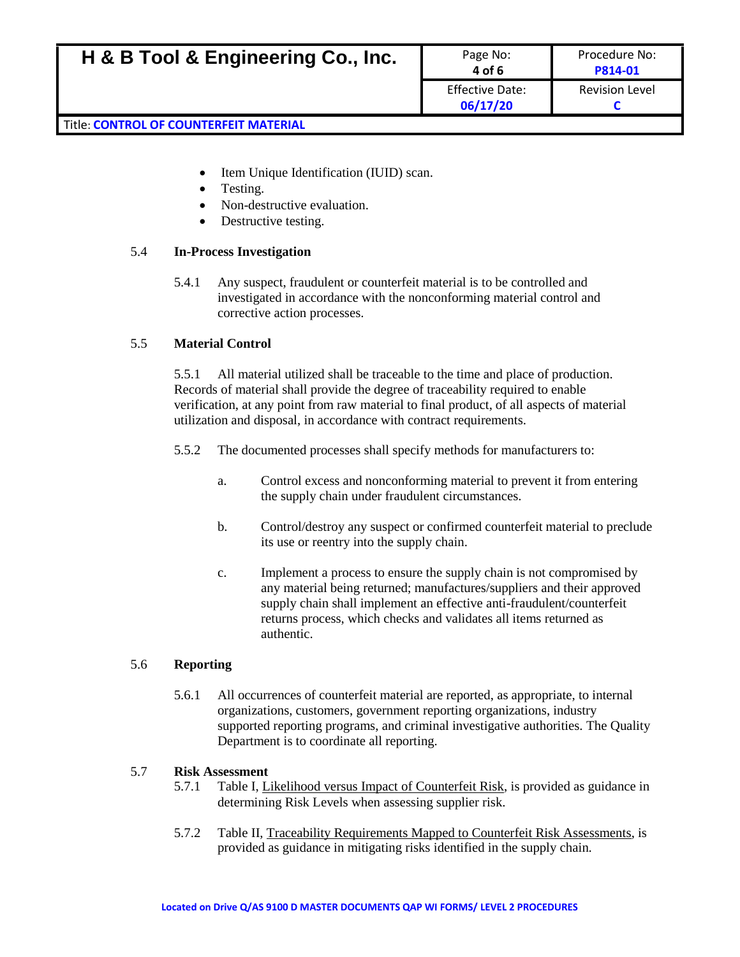- Item Unique Identification (IUID) scan.
- Testing.
- Non-destructive evaluation.
- Destructive testing.

# 5.4 **In-Process Investigation**

5.4.1 Any suspect, fraudulent or counterfeit material is to be controlled and investigated in accordance with the nonconforming material control and corrective action processes.

# 5.5 **Material Control**

5.5.1 All material utilized shall be traceable to the time and place of production. Records of material shall provide the degree of traceability required to enable verification, at any point from raw material to final product, of all aspects of material utilization and disposal, in accordance with contract requirements.

- 5.5.2 The documented processes shall specify methods for manufacturers to:
	- a. Control excess and nonconforming material to prevent it from entering the supply chain under fraudulent circumstances.
	- b. Control/destroy any suspect or confirmed counterfeit material to preclude its use or reentry into the supply chain.
	- c. Implement a process to ensure the supply chain is not compromised by any material being returned; manufactures/suppliers and their approved supply chain shall implement an effective anti-fraudulent/counterfeit returns process, which checks and validates all items returned as authentic.

# 5.6 **Reporting**

5.6.1 All occurrences of counterfeit material are reported, as appropriate, to internal organizations, customers, government reporting organizations, industry supported reporting programs, and criminal investigative authorities. The Quality Department is to coordinate all reporting.

### 5.7 **Risk Assessment**

- 5.7.1 Table I, Likelihood versus Impact of Counterfeit Risk, is provided as guidance in determining Risk Levels when assessing supplier risk.
- 5.7.2 Table II, Traceability Requirements Mapped to Counterfeit Risk Assessments, is provided as guidance in mitigating risks identified in the supply chain.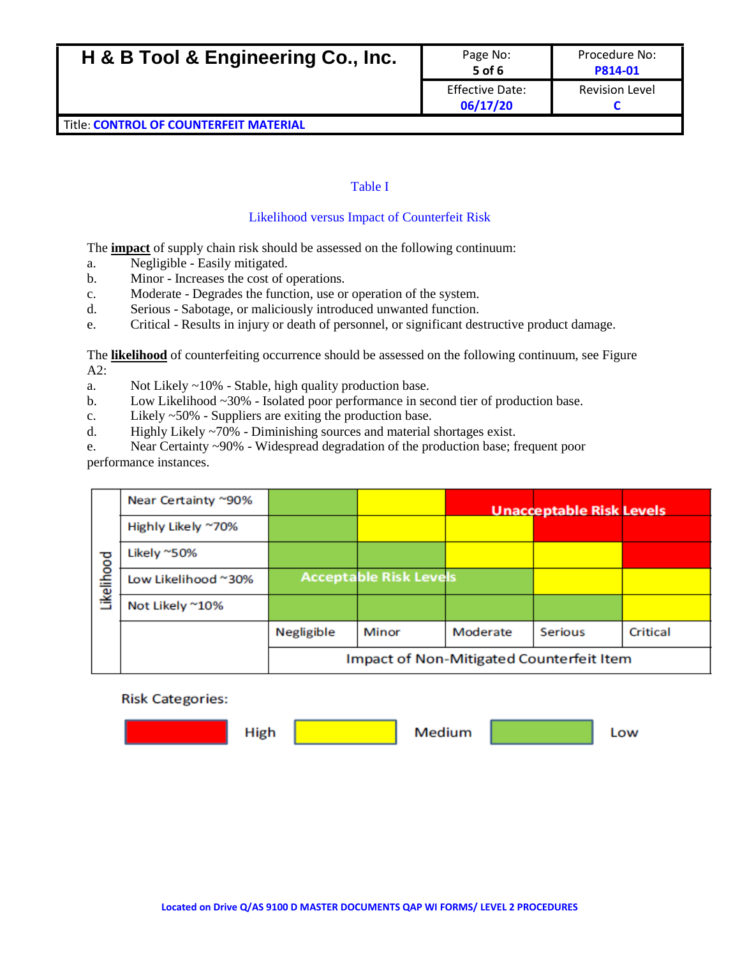| H & B Tool & Engineering Co., Inc.            | Page No:<br>$5$ of 6               | Procedure No:<br>P814-01 |
|-----------------------------------------------|------------------------------------|--------------------------|
|                                               | <b>Effective Date:</b><br>06/17/20 | <b>Revision Level</b>    |
| <b>Title: CONTROL OF COUNTERFEIT MATERIAL</b> |                                    |                          |

### Table I

### Likelihood versus Impact of Counterfeit Risk

The **impact** of supply chain risk should be assessed on the following continuum:

- a. Negligible Easily mitigated.
- b. Minor Increases the cost of operations.
- c. Moderate Degrades the function, use or operation of the system.
- d. Serious Sabotage, or maliciously introduced unwanted function.
- e. Critical Results in injury or death of personnel, or significant destructive product damage.

The **likelihood** of counterfeiting occurrence should be assessed on the following continuum, see Figure  $A2:$ 

- a. Not Likely ~10% Stable, high quality production base.
- b. Low Likelihood ~30% Isolated poor performance in second tier of production base.
- c. Likely ~50% Suppliers are exiting the production base.
- d. Highly Likely ~70% Diminishing sources and material shortages exist.
- e. Near Certainty ~90% Widespread degradation of the production base; frequent poor performance instances.

|            | Near Certainty ~90% |                                          |                               |          | <b>Unacceptable Risk Levels</b> |          |
|------------|---------------------|------------------------------------------|-------------------------------|----------|---------------------------------|----------|
|            | Highly Likely ~70%  |                                          |                               |          |                                 |          |
|            | Likely ~50%         |                                          |                               |          |                                 |          |
| Likelihood | Low Likelihood ~30% |                                          | <b>Acceptable Risk Levels</b> |          |                                 |          |
|            | Not Likely ~10%     |                                          |                               |          |                                 |          |
|            |                     | Negligible                               | Minor                         | Moderate | Serious                         | Critical |
|            |                     | Impact of Non-Mitigated Counterfeit Item |                               |          |                                 |          |

#### **Risk Categories:**

| High | Medium | Low |
|------|--------|-----|
|      |        |     |